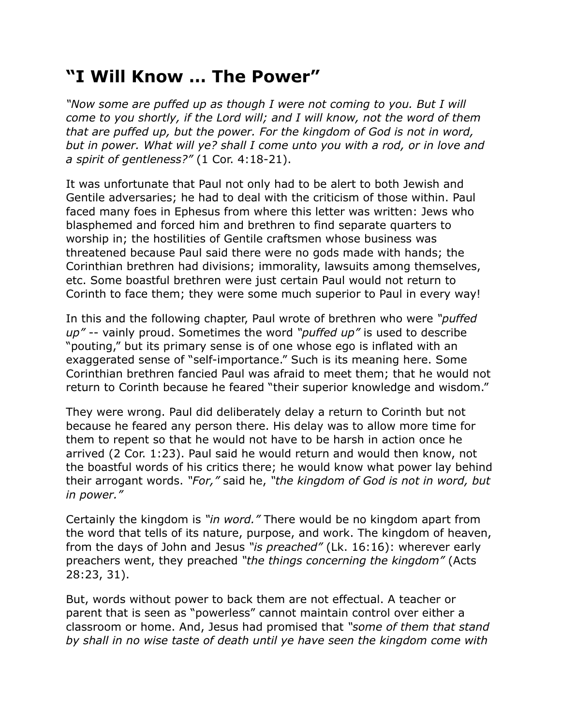## **"I Will Know … The Power"**

*"Now some are puffed up as though I were not coming to you. But I will come to you shortly, if the Lord will; and I will know, not the word of them that are puffed up, but the power. For the kingdom of God is not in word, but in power. What will ye? shall I come unto you with a rod, or in love and a spirit of gentleness?"* (1 Cor. 4:18-21).

It was unfortunate that Paul not only had to be alert to both Jewish and Gentile adversaries; he had to deal with the criticism of those within. Paul faced many foes in Ephesus from where this letter was written: Jews who blasphemed and forced him and brethren to find separate quarters to worship in; the hostilities of Gentile craftsmen whose business was threatened because Paul said there were no gods made with hands; the Corinthian brethren had divisions; immorality, lawsuits among themselves, etc. Some boastful brethren were just certain Paul would not return to Corinth to face them; they were some much superior to Paul in every way!

In this and the following chapter, Paul wrote of brethren who were *"puffed up"* -- vainly proud. Sometimes the word *"puffed up"* is used to describe "pouting," but its primary sense is of one whose ego is inflated with an exaggerated sense of "self-importance." Such is its meaning here. Some Corinthian brethren fancied Paul was afraid to meet them; that he would not return to Corinth because he feared "their superior knowledge and wisdom."

They were wrong. Paul did deliberately delay a return to Corinth but not because he feared any person there. His delay was to allow more time for them to repent so that he would not have to be harsh in action once he arrived (2 Cor. 1:23). Paul said he would return and would then know, not the boastful words of his critics there; he would know what power lay behind their arrogant words. *"For,"* said he, *"the kingdom of God is not in word, but in power."*

Certainly the kingdom is *"in word."* There would be no kingdom apart from the word that tells of its nature, purpose, and work. The kingdom of heaven, from the days of John and Jesus *"is preached"* (Lk. 16:16): wherever early preachers went, they preached *"the things concerning the kingdom"* (Acts 28:23, 31).

But, words without power to back them are not effectual. A teacher or parent that is seen as "powerless" cannot maintain control over either a classroom or home. And, Jesus had promised that *"some of them that stand by shall in no wise taste of death until ye have seen the kingdom come with*